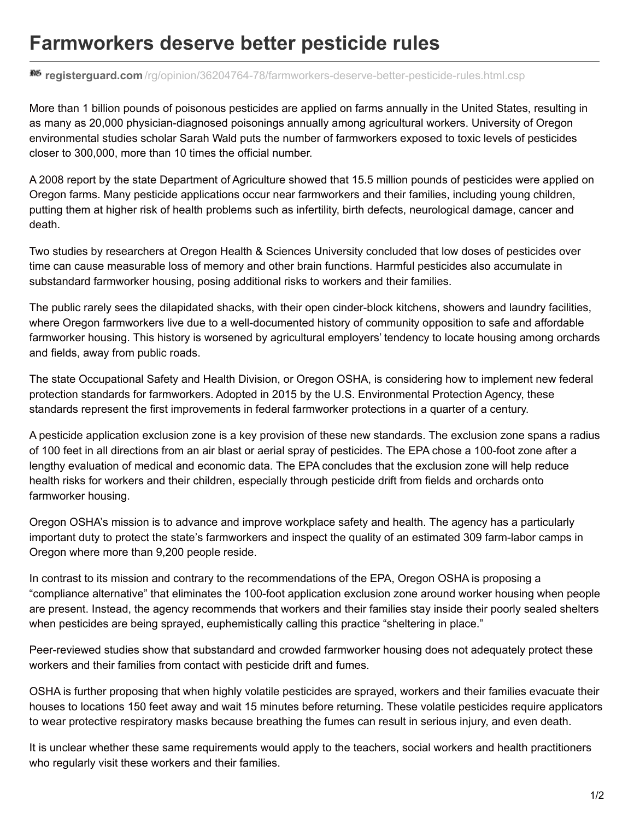## **Farmworkers deserve better pesticide rules**

**registerguard.com** [/rg/opinion/36204764-78/farmworkers-deserve-better-pesticide-rules.html.csp](http://registerguard.com/rg/opinion/36204764-78/farmworkers-deserve-better-pesticide-rules.html.csp)

More than 1 billion pounds of poisonous pesticides are applied on farms annually in the United States, resulting in as many as 20,000 physician-diagnosed poisonings annually among agricultural workers. University of Oregon environmental studies scholar Sarah Wald puts the number of farmworkers exposed to toxic levels of pesticides closer to 300,000, more than 10 times the official number.

A 2008 report by the state Department of Agriculture showed that 15.5 million pounds of pesticides were applied on Oregon farms. Many pesticide applications occur near farmworkers and their families, including young children, putting them at higher risk of health problems such as infertility, birth defects, neurological damage, cancer and death.

Two studies by researchers at Oregon Health & Sciences University concluded that low doses of pesticides over time can cause measurable loss of memory and other brain functions. Harmful pesticides also accumulate in substandard farmworker housing, posing additional risks to workers and their families.

The public rarely sees the dilapidated shacks, with their open cinder-block kitchens, showers and laundry facilities, where Oregon farmworkers live due to a well-documented history of community opposition to safe and affordable farmworker housing. This history is worsened by agricultural employers' tendency to locate housing among orchards and fields, away from public roads.

The state Occupational Safety and Health Division, or Oregon OSHA, is considering how to implement new federal protection standards for farmworkers. Adopted in 2015 by the U.S. Environmental Protection Agency, these standards represent the first improvements in federal farmworker protections in a quarter of a century.

A pesticide application exclusion zone is a key provision of these new standards. The exclusion zone spans a radius of 100 feet in all directions from an air blast or aerial spray of pesticides. The EPA chose a 100-foot zone after a lengthy evaluation of medical and economic data. The EPA concludes that the exclusion zone will help reduce health risks for workers and their children, especially through pesticide drift from fields and orchards onto farmworker housing.

Oregon OSHA's mission is to advance and improve workplace safety and health. The agency has a particularly important duty to protect the state's farmworkers and inspect the quality of an estimated 309 farm-labor camps in Oregon where more than 9,200 people reside.

In contrast to its mission and contrary to the recommendations of the EPA, Oregon OSHA is proposing a "compliance alternative" that eliminates the 100-foot application exclusion zone around worker housing when people are present. Instead, the agency recommends that workers and their families stay inside their poorly sealed shelters when pesticides are being sprayed, euphemistically calling this practice "sheltering in place."

Peer-reviewed studies show that substandard and crowded farmworker housing does not adequately protect these workers and their families from contact with pesticide drift and fumes.

OSHA is further proposing that when highly volatile pesticides are sprayed, workers and their families evacuate their houses to locations 150 feet away and wait 15 minutes before returning. These volatile pesticides require applicators to wear protective respiratory masks because breathing the fumes can result in serious injury, and even death.

It is unclear whether these same requirements would apply to the teachers, social workers and health practitioners who regularly visit these workers and their families.